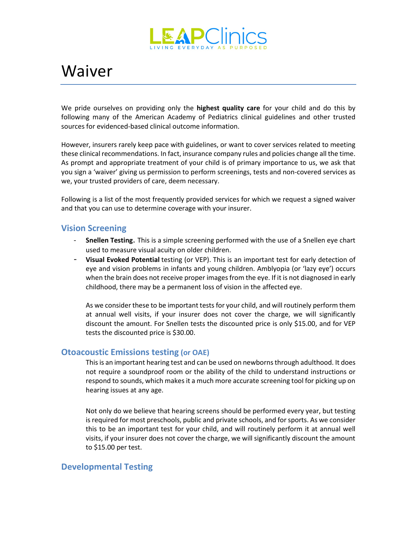

# Waiver

We pride ourselves on providing only the **highest quality care** for your child and do this by following many of the American Academy of Pediatrics clinical guidelines and other trusted sources for evidenced-based clinical outcome information.

However, insurers rarely keep pace with guidelines, or want to cover services related to meeting these clinical recommendations. In fact, insurance company rules and policies change all the time. As prompt and appropriate treatment of your child is of primary importance to us, we ask that you sign a 'waiver' giving us permission to perform screenings, tests and non-covered services as we, your trusted providers of care, deem necessary.

Following is a list of the most frequently provided services for which we request a signed waiver and that you can use to determine coverage with your insurer.

### **Vision Screening**

- **Snellen Testing**. This is a simple screening performed with the use of a Snellen eye chart used to measure visual acuity on older children.
- **Visual Evoked Potential** testing (or VEP). This is an important test for early detection of eye and vision problems in infants and young children. Amblyopia (or 'lazy eye') occurs when the brain does not receive proper images from the eye. If it is not diagnosed in early childhood, there may be a permanent loss of vision in the affected eye.

As we consider these to be important tests for your child, and will routinely perform them at annual well visits, if your insurer does not cover the charge, we will significantly discount the amount. For Snellen tests the discounted price is only \$15.00, and for VEP tests the discounted price is \$30.00.

### **Otoacoustic Emissions testing (or OAE)**

This is an important hearing test and can be used on newborns through adulthood. It does not require a soundproof room or the ability of the child to understand instructions or respond to sounds, which makes it a much more accurate screening tool for picking up on hearing issues at any age.

Not only do we believe that hearing screens should be performed every year, but testing is required for most preschools, public and private schools, and for sports. As we consider this to be an important test for your child, and will routinely perform it at annual well visits, if your insurer does not cover the charge, we will significantly discount the amount to \$15.00 per test.

### **Developmental Testing**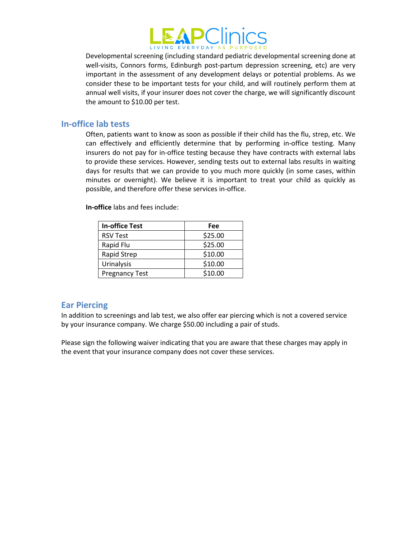

Developmental screening (including standard pediatric developmental screening done at well-visits, Connors forms, Edinburgh post-partum depression screening, etc) are very important in the assessment of any development delays or potential problems. As we consider these to be important tests for your child, and will routinely perform them at annual well visits, if your insurer does not cover the charge, we will significantly discount the amount to \$10.00 per test.

#### **In-office lab tests**

Often, patients want to know as soon as possible if their child has the flu, strep, etc. We can effectively and efficiently determine that by performing in-office testing. Many insurers do not pay for in-office testing because they have contracts with external labs to provide these services. However, sending tests out to external labs results in waiting days for results that we can provide to you much more quickly (in some cases, within minutes or overnight). We believe it is important to treat your child as quickly as possible, and therefore offer these services in-office.

**In-office** labs and fees include:

| <b>In-office Test</b> | Fee     |
|-----------------------|---------|
| <b>RSV Test</b>       | \$25.00 |
| Rapid Flu             | \$25.00 |
| Rapid Strep           | \$10.00 |
| <b>Urinalysis</b>     | \$10.00 |
| <b>Pregnancy Test</b> | \$10.00 |

### **Ear Piercing**

In addition to screenings and lab test, we also offer ear piercing which is not a covered service by your insurance company. We charge \$50.00 including a pair of studs.

Please sign the following waiver indicating that you are aware that these charges may apply in the event that your insurance company does not cover these services.